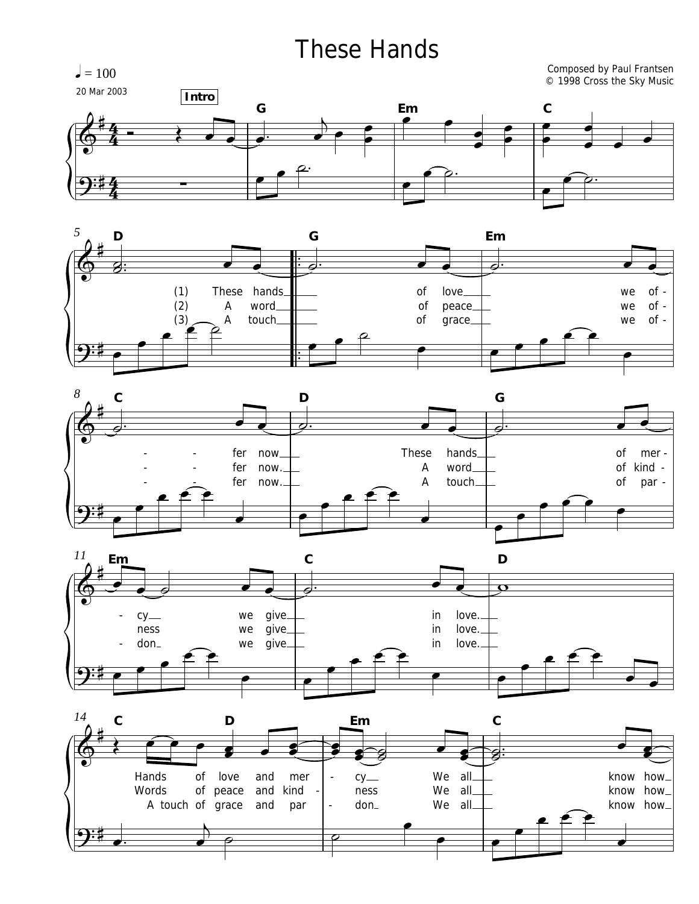## These Hands